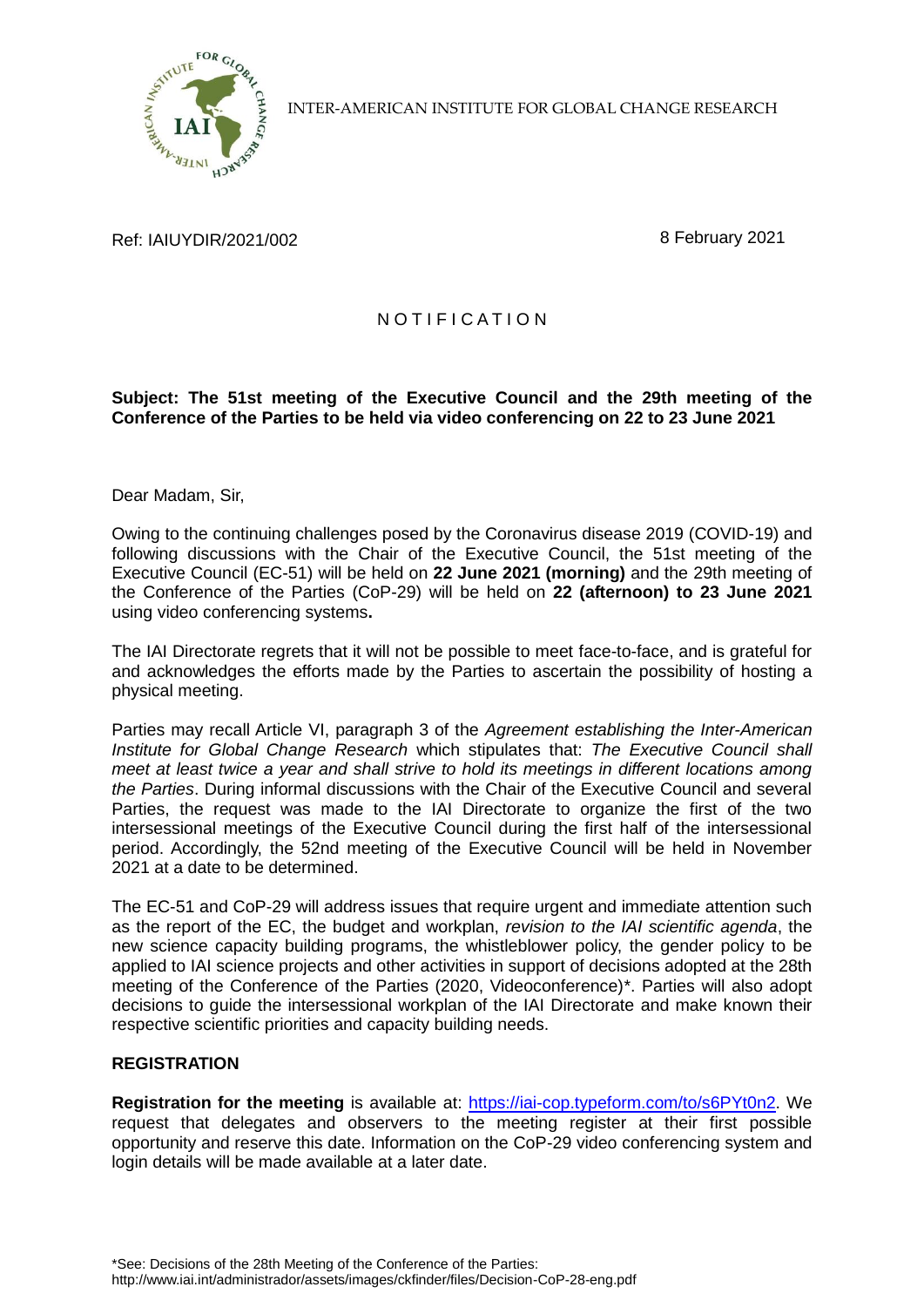

INTER-AMERICAN INSTITUTE FOR GLOBAL CHANGE RESEARCH

Ref: IAIUYDIR/2021/002 8 February 2021

## N O T I F I C A T I O N

## **Subject: The 51st meeting of the Executive Council and the 29th meeting of the Conference of the Parties to be held via video conferencing on 22 to 23 June 2021**

Dear Madam, Sir,

Owing to the continuing challenges posed by the Coronavirus disease 2019 (COVID-19) and following discussions with the Chair of the Executive Council, the 51st meeting of the Executive Council (EC-51) will be held on **22 June 2021 (morning)** and the 29th meeting of the Conference of the Parties (CoP-29) will be held on **22 (afternoon) to 23 June 2021** using video conferencing systems**.**

The IAI Directorate regrets that it will not be possible to meet face-to-face, and is grateful for and acknowledges the efforts made by the Parties to ascertain the possibility of hosting a physical meeting.

Parties may recall Article VI, paragraph 3 of the *Agreement establishing the Inter-American Institute for Global Change Research* which stipulates that: *The Executive Council shall meet at least twice a year and shall strive to hold its meetings in different locations among the Parties*. During informal discussions with the Chair of the Executive Council and several Parties, the request was made to the IAI Directorate to organize the first of the two intersessional meetings of the Executive Council during the first half of the intersessional period. Accordingly, the 52nd meeting of the Executive Council will be held in November 2021 at a date to be determined.

The EC-51 and CoP-29 will address issues that require urgent and immediate attention such as the report of the EC, the budget and workplan, *revision to the IAI scientific agenda*, the new science capacity building programs, the whistleblower policy, the gender policy to be applied to IAI science projects and other activities in support of decisions adopted at the 28th meeting of the Conference of the Parties (2020, Videoconference)\*. Parties will also adopt decisions to guide the intersessional workplan of the IAI Directorate and make known their respective scientific priorities and capacity building needs.

## **REGISTRATION**

**Registration for the meeting** is available at: [https://iai-cop.typeform.com/to/s6PYt0n2.](https://iai-cop.typeform.com/to/s6PYt0n2) We request that delegates and observers to the meeting register at their first possible opportunity and reserve this date. Information on the CoP-29 video conferencing system and login details will be made available at a later date.